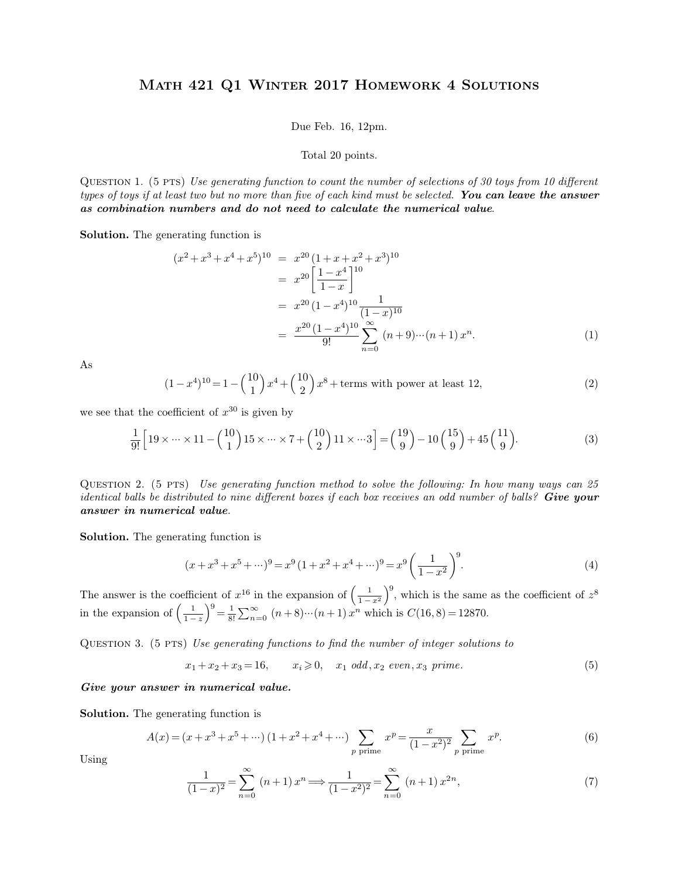## Math 421 Q1 Winter 2017 Homework 4 Solutions MATH 421 Q1 WINTER 2017 HOMEWORK 4 SOLUTIONS<br>Due Feb. 16, 12pm.<br>Total 20 points.

Due Feb. 16, 12pm.<br>Total 20 points.<br>QUESTION 1. (5 PTS) Use generating function to count the number of selections of 30 toys from 10 different Due Feb. 16, 12pm.<br>
Total 20 points.<br>
QUESTION 1. (5 PTS) *Use generating function to count the number of selections of 30 toys from 10 different*<br> *types of toys if at least two but no more than five of each kind must be types of toys if at least two but no more than five of each kind must be selections of 30 toys from 10 different*<br>*types of toys if at least two but no more than five of each kind must be selected. You can leave the an* **as combination 1.** (5 PTS) Use generating function to count the number of selections of 30 toys types of toys if at least two but no more than five of each kind must be selected. **You can leas combination numbers and do** as combination numbers and do not need to calculate the numerical value.

$$
(x^{2} + x^{3} + x^{4} + x^{5})^{10} = x^{20} (1 + x + x^{2} + x^{3})^{10}
$$
  
\n
$$
= x^{20} \left[ \frac{1 - x^{4}}{1 - x} \right]^{10}
$$
  
\n
$$
= x^{20} (1 - x^{4})^{10} \frac{1}{(1 - x)^{10}}
$$
  
\n
$$
= \frac{x^{20} (1 - x^{4})^{10}}{9!} \sum_{n=0}^{\infty} (n + 9) \cdots (n + 1) x^{n}.
$$
  
\n(1)  
\n
$$
(1 - x^{4})^{10} = 1 - {10 \choose 1} x^{4} + {10 \choose 2} x^{8} + \text{terms with power at least 12},
$$
  
\n(2)

As

As  
\n
$$
(1-x^4)^{10} = 1 - {10 \choose 1}x^4 + {10 \choose 2}x^8 + \text{terms with power at least 12},
$$
\nwe see that the coefficient of  $x^{30}$  is given by\n
$$
\frac{1}{2} \left[ x^3 + {10 \choose 1} x^2 + {10 \choose 2} x^3 + {10 \choose 2} x^2 + {10 \choose 2} x^3 + {10 \choose 2} x^2 + {10 \choose 2} x^3 + {10 \choose 2} x^2 + {10 \choose 2} x^3 + {10 \choose 2} x^2 + {10 \choose 2} x^3 + {10 \choose 2} x^2 + {10 \choose 2} x^3 + {10 \choose 2} x^2 + {10 \choose 2} x^3 + {10 \choose 2} x^2 + {10 \choose 2} x^3 + {10 \choose 2} x^2 + {10 \choose 2} x^3 + {10 \choose 2} x^2 + {10 \choose 2} x^3 + {10 \choose 2} x^2 + {10 \choose 2} x^3 + {10 \choose 2} x^2 + {10 \choose 2} x^3 + {10 \choose 2} x^2 + {10 \choose 2} x^3 + {10 \choose 2} x^2 + {10 \choose 2} x^3 + {10 \choose 2} x^2 + {10 \choose 2} x^3 + {10 \choose 2} x^2 + {10 \choose 2} x^3 + {10 \choose 2} x^2 + {10 \choose 2} x^3 + {10 \choose 2} x^2 + {10 \choose 2} x^3 + {10 \choose 2} x^2 + {10 \choose 2} x^3 + {10 \choose 2} x^2 + {10 \choose 2} x^3 + {10 \choose 2} x^2 + {10 \choose 2} x^2 + {10 \choose 2} x^2 + {10 \choose 2} x^3 + {10 \choose 2} x^2 + {10 \choose 2} x^2 + {10 \choose 2} x^2 + {10 \choose 2} x^3 + {10 \choose 2} x^2 + {10 \choose 2} x^2 + {10 \choose 2} x^3 + {10 \choose 2} x^2 + {10 \choose 2} x^2 + {10 \choose 2} x^3 + {10 \choose 2} x^2 + {10 \
$$

$$
(1-x^4)^{10} = 1 - {10 \choose 1}x^4 + {10 \choose 2}x^8 + \text{terms with power at least 12}, \tag{2}
$$
  
the coefficient of  $x^{30}$  is given by  

$$
\frac{1}{9!} \Big[19 \times \dots \times 11 - {10 \choose 1}15 \times \dots \times 7 + {10 \choose 2}11 \times \dots 3\Big] = {19 \choose 9} - 10{15 \choose 9} + 45{11 \choose 9}.
$$
  
2. (5 PTS) *Use generating function method to solve the following: In how many ways can 25*

 $\frac{1}{9!} \Big[ 19 \times \cdots \times 11 - {10 \choose 1} 15 \times \cdots \times 7 + {10 \choose 2} 11 \times \cdots 3 \Big] = {19 \choose 9} - 10 {15 \choose 9} + 45 {11 \choose 9}.$  (3)<br>QUESTION 2. (5 PTS) *Use generating function method to solve the following: In how many ways can 25*<br>*identical ba*  $\frac{1}{9!} \left[ 19 \times \cdots \times 11 - {10 \choose 1} 15 \times \cdots \times 7 + {10 \choose 2} 11 \times \cdots 3 \right] = {19 \choose 9} - 10 {15 \choose 9} + 45 {11 \choose 9}.$  (3)<br>QUESTION 2. (5 PTS) *Use generating function method to solve the following: In how many ways can 25*<br>*identical ba* **a**<br> **a**<br> **answer in numerical value**<br> **answer in numerical value**<br> **Solution.** The generating function is

$$
(x + x3 + x5 + \cdots)9 = x9 (1 + x2 + x4 + \cdots)9 = x9 \left(\frac{1}{1 - x2}\right)9.
$$
 (4)

**Solution.** The generating function is<br>  $(x+x^3+x^5+\cdots)^9 = x^9(1+x^2+x^4+\cdots)^9 = x^9$ <br>
The answer is the coefficient of  $x^{16}$  in the expansion of  $\left(\frac{1}{1-x^2}\right)^9$ , v<br>
in the expansion of  $\left(\frac{1}{1-x}\right)^9 = \frac{1}{9} \sum_{n=0}^{\infty} (n+8)\cdots$  $\left(\frac{1}{1-x^2}\right)^9$ , which  $x^9\left(\frac{1}{1-x^2}\right)^9$ . (4)<br>, which is the same as the coefficient of  $z^8$ <br>is  $C(16,8) = 12870$ . 8  $(x+x^3 +$ <br>The answer is the coefficient of<br>in the expansion of  $\left(\frac{1}{1-z}\right)^9 = \frac{1}{3}$  $\left(\frac{1}{1-z}\right)^9 = \frac{1}{8!} \sum_{n=0}^{\infty} (n+8)\cdots(n+$  $(a^2 - b^2)^9 = x^9 (1 + x^2 + x^4 + \cdots)^9 = x^9 \left(\frac{1}{1 - x^2}\right)^9.$ <br> *i* in the expansion of  $\left(\frac{1}{1 - x^2}\right)^9$ , which is the same as the  $\infty$   $(n + 8)\cdots(n + 1)x^n$  which is  $C(16, 8) = 12870.$ The answer is the coefficient of  $x^{16}$  in the expansion of  $\left(\frac{1}{1-x^2}\right)^9$ , which is the same as the coefficient in the expansion of  $\left(\frac{1}{1-z}\right)^9 = \frac{1}{8!} \sum_{n=0}^{\infty} (n+8) \cdots (n+1) x^n$  which is  $C(16,8) = 12870$ .<br>QUEST  $\left(\frac{1-x^2}{1-x}\right)^9 = \frac{1}{8!} \sum_{n=0}^{\infty} (n+8)\cdots(n+1) x^n$  which is  $C(16,8) = 12870$ .<br> *X x*<sub>2</sub> *even i x*<sub>2</sub> *x*<sub>1</sub> *x*<sub>2</sub> *x*<sub>1</sub> *x*<sub>2</sub> *x*<sub>1</sub> *x*<sub>2</sub> *x*<sub>2</sub> *x*<sub>2</sub> *x*<sub>1</sub> *x*<sub>2</sub> *x*<sub>2</sub> *x*<sub>1</sub> *x*<sub>2</sub> *x*<sub>2</sub> *x*<sub>2</sub> *x*<sub>2</sub>

QUESTION 3. (5 PTS) Use generating functions to find the number of integer solutions to  $x_1 + x_2 + x_3 = 16$ ,  $x_i \ge 0$ ,  $x_1 \text{ odd}, x_2 \text{ even}, x_3 \text{ prime}$ .<br> **Give your answer in numerical value.**<br> **Solution.** The generating function

Give your answer in numerical value.

**Answer in numerical value.**  
\nthe generating function is  
\n
$$
A(x) = (x + x^3 + x^5 + \cdots)(1 + x^2 + x^4 + \cdots) \sum_{p \text{ prime}} x^p = \frac{x}{(1 - x^2)^2} \sum_{p \text{ prime}} x^p.
$$
\n(6)

Using

$$
(x+x^3+x^5+\cdots)(1+x^2+x^4+\cdots)\sum_{p\text{ prime}}x^p = \frac{x}{(1-x^2)^2}\sum_{p\text{ prime}}x^p.
$$
  

$$
\frac{1}{(1-x)^2} = \sum_{n=0}^{\infty} (n+1)x^n \Longrightarrow \frac{1}{(1-x^2)^2} = \sum_{n=0}^{\infty} (n+1)x^{2n},
$$
 (7)